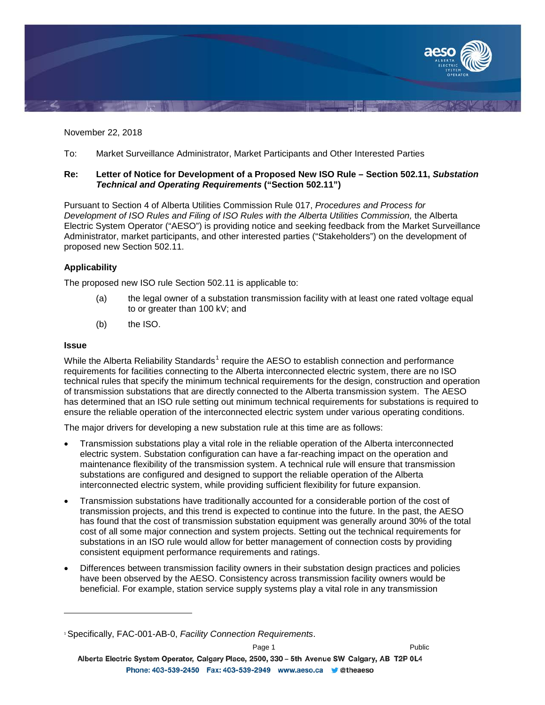

November 22, 2018

To: Market Surveillance Administrator, Market Participants and Other Interested Parties

# **Re: Letter of Notice for Development of a Proposed New ISO Rule – Section 502.11,** *Substation Technical and Operating Requirements* **("Section 502.11")**

Pursuant to Section 4 of Alberta Utilities Commission Rule 017, *Procedures and Process for*  Development of ISO Rules and Filing of ISO Rules with the Alberta Utilities Commission, the Alberta Electric System Operator ("AESO") is providing notice and seeking feedback from the Market Surveillance Administrator, market participants, and other interested parties ("Stakeholders") on the development of proposed new Section 502.11.

# **Applicability**

The proposed new ISO rule Section 502.11 is applicable to:

- (a) the legal owner of a substation transmission facility with at least one rated voltage equal to or greater than 100 kV; and
- (b) the ISO.

### **Issue**

 $\overline{a}$ 

While the Alberta Reliability Standards<sup>[1](#page-0-0)</sup> require the AESO to establish connection and performance requirements for facilities connecting to the Alberta interconnected electric system, there are no ISO technical rules that specify the minimum technical requirements for the design, construction and operation of transmission substations that are directly connected to the Alberta transmission system. The AESO has determined that an ISO rule setting out minimum technical requirements for substations is required to ensure the reliable operation of the interconnected electric system under various operating conditions.

The major drivers for developing a new substation rule at this time are as follows:

- Transmission substations play a vital role in the reliable operation of the Alberta interconnected electric system. Substation configuration can have a far-reaching impact on the operation and maintenance flexibility of the transmission system. A technical rule will ensure that transmission substations are configured and designed to support the reliable operation of the Alberta interconnected electric system, while providing sufficient flexibility for future expansion.
- Transmission substations have traditionally accounted for a considerable portion of the cost of transmission projects, and this trend is expected to continue into the future. In the past, the AESO has found that the cost of transmission substation equipment was generally around 30% of the total cost of all some major connection and system projects. Setting out the technical requirements for substations in an ISO rule would allow for better management of connection costs by providing consistent equipment performance requirements and ratings.
- Differences between transmission facility owners in their substation design practices and policies have been observed by the AESO. Consistency across transmission facility owners would be beneficial. For example, station service supply systems play a vital role in any transmission

Page 1 Public Public Public

Alberta Electric System Operator, Calgary Place, 2500, 330 - 5th Avenue SW Calgary, AB T2P 0L4 Phone: 403-539-2450 Fax: 403-539-2949 www.aeso.ca ● @theaeso

<span id="page-0-0"></span><sup>1</sup>Specifically, FAC-001-AB-0, *Facility Connection Requirements*.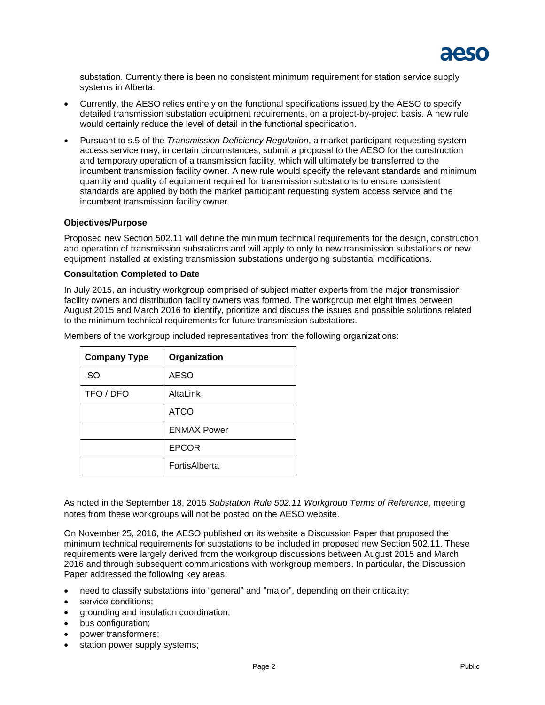

substation. Currently there is been no consistent minimum requirement for station service supply systems in Alberta.

- Currently, the AESO relies entirely on the functional specifications issued by the AESO to specify detailed transmission substation equipment requirements, on a project-by-project basis. A new rule would certainly reduce the level of detail in the functional specification.
- Pursuant to s.5 of the *Transmission Deficiency Regulation*, a market participant requesting system access service may, in certain circumstances, submit a proposal to the AESO for the construction and temporary operation of a transmission facility, which will ultimately be transferred to the incumbent transmission facility owner. A new rule would specify the relevant standards and minimum quantity and quality of equipment required for transmission substations to ensure consistent standards are applied by both the market participant requesting system access service and the incumbent transmission facility owner.

## **Objectives/Purpose**

Proposed new Section 502.11 will define the minimum technical requirements for the design, construction and operation of transmission substations and will apply to only to new transmission substations or new equipment installed at existing transmission substations undergoing substantial modifications.

#### **Consultation Completed to Date**

In July 2015, an industry workgroup comprised of subject matter experts from the major transmission facility owners and distribution facility owners was formed. The workgroup met eight times between August 2015 and March 2016 to identify, prioritize and discuss the issues and possible solutions related to the minimum technical requirements for future transmission substations.

| <b>Company Type</b> | Organization       |
|---------------------|--------------------|
| <b>ISO</b>          | <b>AESO</b>        |
| TFO / DFO           | AltaLink           |
|                     | <b>ATCO</b>        |
|                     | <b>ENMAX Power</b> |
|                     | <b>EPCOR</b>       |
|                     | FortisAlberta      |

Members of the workgroup included representatives from the following organizations:

As noted in the September 18, 2015 *Substation Rule 502.11 Workgroup Terms of Reference,* meeting notes from these workgroups will not be posted on the AESO website.

On November 25, 2016, the AESO published on its website a Discussion Paper that proposed the minimum technical requirements for substations to be included in proposed new Section 502.11. These requirements were largely derived from the workgroup discussions between August 2015 and March 2016 and through subsequent communications with workgroup members. In particular, the Discussion Paper addressed the following key areas:

- need to classify substations into "general" and "major", depending on their criticality;
- service conditions;
- grounding and insulation coordination;
- bus configuration:
- power transformers;
- station power supply systems;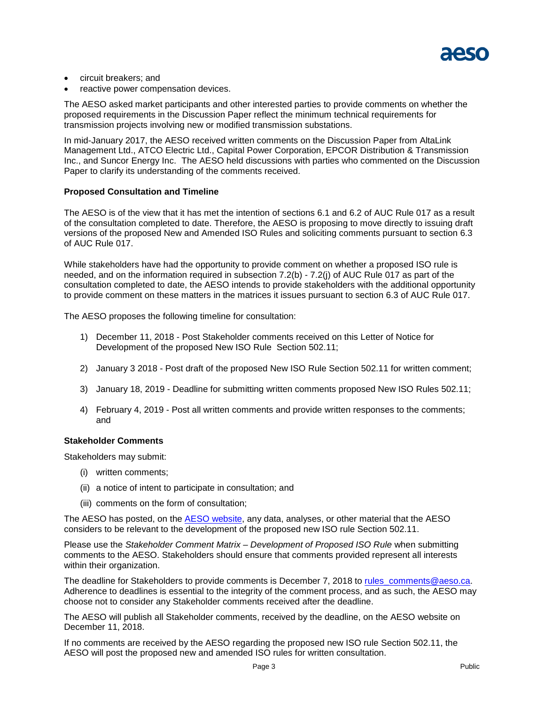

- circuit breakers; and
- reactive power compensation devices.

The AESO asked market participants and other interested parties to provide comments on whether the proposed requirements in the Discussion Paper reflect the minimum technical requirements for transmission projects involving new or modified transmission substations.

In mid-January 2017, the AESO received written comments on the Discussion Paper from AltaLink Management Ltd., ATCO Electric Ltd., Capital Power Corporation, EPCOR Distribution & Transmission Inc., and Suncor Energy Inc. The AESO held discussions with parties who commented on the Discussion Paper to clarify its understanding of the comments received.

### **Proposed Consultation and Timeline**

The AESO is of the view that it has met the intention of sections 6.1 and 6.2 of AUC Rule 017 as a result of the consultation completed to date. Therefore, the AESO is proposing to move directly to issuing draft versions of the proposed New and Amended ISO Rules and soliciting comments pursuant to section 6.3 of AUC Rule 017.

While stakeholders have had the opportunity to provide comment on whether a proposed ISO rule is needed, and on the information required in subsection 7.2(b) - 7.2(j) of AUC Rule 017 as part of the consultation completed to date, the AESO intends to provide stakeholders with the additional opportunity to provide comment on these matters in the matrices it issues pursuant to section 6.3 of AUC Rule 017.

The AESO proposes the following timeline for consultation:

- 1) December 11, 2018 Post Stakeholder comments received on this Letter of Notice for Development of the proposed New ISO Rule Section 502.11;
- 2) January 3 2018 Post draft of the proposed New ISO Rule Section 502.11 for written comment;
- 3) January 18, 2019 Deadline for submitting written comments proposed New ISO Rules 502.11;
- 4) February 4, 2019 Post all written comments and provide written responses to the comments; and

### **Stakeholder Comments**

Stakeholders may submit:

- (i) written comments;
- (ii) a notice of intent to participate in consultation; and
- (iii) comments on the form of consultation;

The AESO has posted, on the [AESO website,](https://www.aeso.ca/) any data, analyses, or other material that the AESO considers to be relevant to the development of the proposed new ISO rule Section 502.11.

Please use the *Stakeholder Comment Matrix – Development of Proposed ISO Rule* when submitting comments to the AESO. Stakeholders should ensure that comments provided represent all interests within their organization.

The deadline for Stakeholders to provide comments is December 7, 2018 to [rules\\_comments@aeso.ca.](mailto:rules_comments@aeso.ca) Adherence to deadlines is essential to the integrity of the comment process, and as such, the AESO may choose not to consider any Stakeholder comments received after the deadline.

The AESO will publish all Stakeholder comments, received by the deadline, on the AESO website on December 11, 2018.

If no comments are received by the AESO regarding the proposed new ISO rule Section 502.11, the AESO will post the proposed new and amended ISO rules for written consultation.